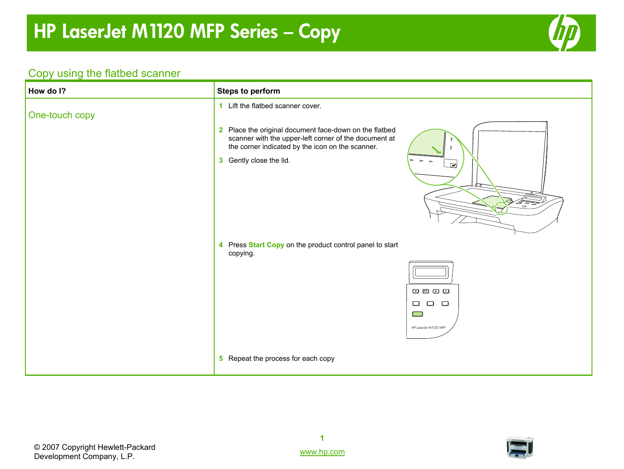

#### Copy using the flatbed scanner

| How do I?      | <b>Steps to perform</b>                                                                                                                                                                                                                                                                                                                                                                                 |
|----------------|---------------------------------------------------------------------------------------------------------------------------------------------------------------------------------------------------------------------------------------------------------------------------------------------------------------------------------------------------------------------------------------------------------|
| One-touch copy | 1 Lift the flatbed scanner cover.                                                                                                                                                                                                                                                                                                                                                                       |
|                | 2 Place the original document face-down on the flatbed<br>scanner with the upper-left corner of the document at<br>the corner indicated by the icon on the scanner.                                                                                                                                                                                                                                     |
|                | 3 Gently close the lid.<br>$\sim$<br>⊡<br>$\circ$                                                                                                                                                                                                                                                                                                                                                       |
|                | 4 Press Start Copy on the product control panel to start<br>copying.                                                                                                                                                                                                                                                                                                                                    |
|                |                                                                                                                                                                                                                                                                                                                                                                                                         |
|                | $\begin{tabular}{l} \hline \rule{0.2cm}{0.4pt} \hline \rule{0.2cm}{0.4pt} \rule{0.2cm}{0.4pt} \rule{0.2cm}{0.4pt} \rule{0.2cm}{0.4pt} \rule{0.2cm}{0.4pt} \rule{0.2cm}{0.4pt} \rule{0.2cm}{0.4pt} \rule{0.2cm}{0.4pt} \rule{0.2cm}{0.4pt} \rule{0.2cm}{0.4pt} \rule{0.2cm}{0.4pt} \rule{0.2cm}{0.4pt} \rule{0.2cm}{0.4pt} \rule{0.2cm}{0.4pt} \rule{0.2cm}{0.4$<br>$\Box$<br>$\Box$<br>$\Box$<br>$\Box$ |
|                | HP LaserJet M1120 MFP                                                                                                                                                                                                                                                                                                                                                                                   |
|                | 5 Repeat the process for each copy                                                                                                                                                                                                                                                                                                                                                                      |

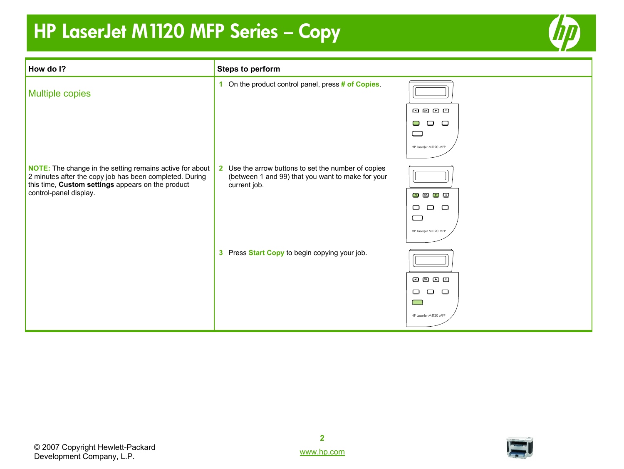

| How do I?                                                                                                                                                                       | <b>Steps to perform</b>                                                                                                                |                                                                                                                                                                                                                                                                                                                                                                                                       |
|---------------------------------------------------------------------------------------------------------------------------------------------------------------------------------|----------------------------------------------------------------------------------------------------------------------------------------|-------------------------------------------------------------------------------------------------------------------------------------------------------------------------------------------------------------------------------------------------------------------------------------------------------------------------------------------------------------------------------------------------------|
| <b>Multiple copies</b>                                                                                                                                                          | 1 On the product control panel, press # of Copies.                                                                                     |                                                                                                                                                                                                                                                                                                                                                                                                       |
|                                                                                                                                                                                 |                                                                                                                                        | $\begin{picture}(20,20) \put(0,0){\line(1,0){10}} \put(15,0){\line(1,0){10}} \put(15,0){\line(1,0){10}} \put(15,0){\line(1,0){10}} \put(15,0){\line(1,0){10}} \put(15,0){\line(1,0){10}} \put(15,0){\line(1,0){10}} \put(15,0){\line(1,0){10}} \put(15,0){\line(1,0){10}} \put(15,0){\line(1,0){10}} \put(15,0){\line(1,0){10}} \put(15,0){\line(1$                                                   |
|                                                                                                                                                                                 |                                                                                                                                        | $\Box$<br>$\Box$<br>$\Box$                                                                                                                                                                                                                                                                                                                                                                            |
|                                                                                                                                                                                 |                                                                                                                                        | $\Box$                                                                                                                                                                                                                                                                                                                                                                                                |
|                                                                                                                                                                                 |                                                                                                                                        | HP LaserJet M1120 MFP                                                                                                                                                                                                                                                                                                                                                                                 |
| <b>NOTE:</b> The change in the setting remains active for about<br>2 minutes after the copy job has been completed. During<br>this time, Custom settings appears on the product | Use the arrow buttons to set the number of copies<br>$\mathbf{2}$<br>(between 1 and 99) that you want to make for your<br>current job. |                                                                                                                                                                                                                                                                                                                                                                                                       |
| control-panel display.                                                                                                                                                          |                                                                                                                                        | $\bullet$ $\bullet$ $\bullet$ $\bullet$                                                                                                                                                                                                                                                                                                                                                               |
|                                                                                                                                                                                 |                                                                                                                                        | $\Box$<br>$\Box$<br>$\Box$<br>$\equiv$                                                                                                                                                                                                                                                                                                                                                                |
|                                                                                                                                                                                 |                                                                                                                                        | HP LaserJet M1120 MFP                                                                                                                                                                                                                                                                                                                                                                                 |
|                                                                                                                                                                                 | 3 Press Start Copy to begin copying your job.                                                                                          |                                                                                                                                                                                                                                                                                                                                                                                                       |
|                                                                                                                                                                                 |                                                                                                                                        | $\begin{picture}(25,20) \put(0,0){\dashbox{0.5}(5,0){ }} \put(15,0){\circle{1}} \put(25,0){\circle{1}} \put(35,0){\circle{1}} \put(45,0){\circle{1}} \put(55,0){\circle{1}} \put(65,0){\circle{1}} \put(75,0){\circle{1}} \put(75,0){\circle{1}} \put(75,0){\circle{1}} \put(75,0){\circle{1}} \put(75,0){\circle{1}} \put(75,0){\circle{1}} \put(75,0){\circle{1}} \put(75,0){\circle{1}} \put(75,0$ |
|                                                                                                                                                                                 |                                                                                                                                        | $\Box$<br>$\Box$<br>$\Box$                                                                                                                                                                                                                                                                                                                                                                            |
|                                                                                                                                                                                 |                                                                                                                                        | <u>an</u>                                                                                                                                                                                                                                                                                                                                                                                             |
|                                                                                                                                                                                 |                                                                                                                                        | HP LaserJet M1120 MFP                                                                                                                                                                                                                                                                                                                                                                                 |



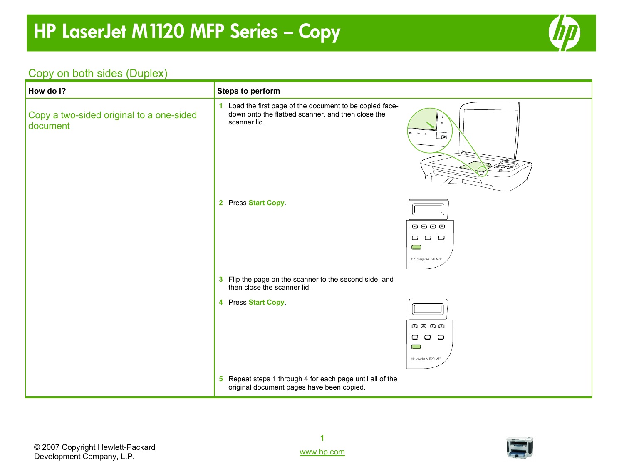

#### Copy on both sides (Duplex)

| How do I?                                            | <b>Steps to perform</b>                                                                                                       |                                                                                                                                                                                                                                                                                                                                                                                                                |
|------------------------------------------------------|-------------------------------------------------------------------------------------------------------------------------------|----------------------------------------------------------------------------------------------------------------------------------------------------------------------------------------------------------------------------------------------------------------------------------------------------------------------------------------------------------------------------------------------------------------|
| Copy a two-sided original to a one-sided<br>document | 1 Load the first page of the document to be copied face-<br>down onto the flatbed scanner, and then close the<br>scanner lid. | G٦                                                                                                                                                                                                                                                                                                                                                                                                             |
|                                                      | 2 Press Start Copy.                                                                                                           | 0 0 0 0<br>$\Box$ $\Box$<br>$\Box$<br>$\Box$<br>HP LaserJet M 1120 MFP                                                                                                                                                                                                                                                                                                                                         |
|                                                      | 3 Flip the page on the scanner to the second side, and<br>then close the scanner lid.                                         |                                                                                                                                                                                                                                                                                                                                                                                                                |
|                                                      | 4 Press Start Copy.                                                                                                           | $\begin{picture}(20,20) \put(0,0){\line(1,0){10}} \put(15,0){\line(1,0){10}} \put(15,0){\line(1,0){10}} \put(15,0){\line(1,0){10}} \put(15,0){\line(1,0){10}} \put(15,0){\line(1,0){10}} \put(15,0){\line(1,0){10}} \put(15,0){\line(1,0){10}} \put(15,0){\line(1,0){10}} \put(15,0){\line(1,0){10}} \put(15,0){\line(1,0){10}} \put(15,0){\line(1$<br>$\Box$ $\Box$ $\Box$<br>$\Box$<br>HP LaserJet M1120 MFP |
|                                                      | 5 Repeat steps 1 through 4 for each page until all of the<br>original document pages have been copied.                        |                                                                                                                                                                                                                                                                                                                                                                                                                |

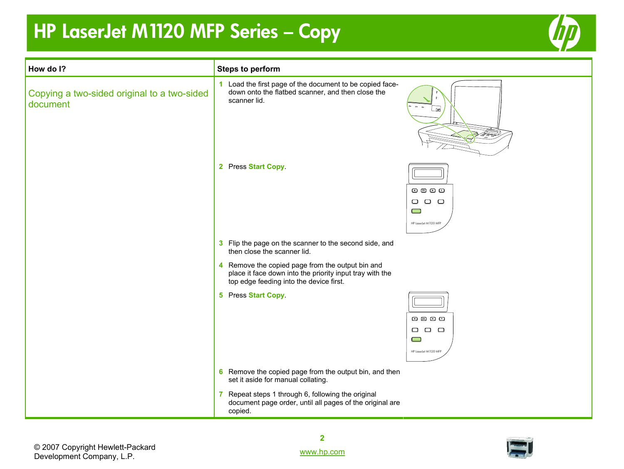

| How do I?                                               | <b>Steps to perform</b>                                                                                                                                 |                                                                                                         |
|---------------------------------------------------------|---------------------------------------------------------------------------------------------------------------------------------------------------------|---------------------------------------------------------------------------------------------------------|
| Copying a two-sided original to a two-sided<br>document | 1 Load the first page of the document to be copied face-<br>down onto the flatbed scanner, and then close the<br>scanner lid.                           | - 교                                                                                                     |
|                                                         | 2 Press Start Copy.                                                                                                                                     | 0000<br>$\begin{array}{ccc} \square & \square & \square \end{array}$<br>$\Box$<br>HP LaserJet M1120 MFP |
|                                                         | 3 Flip the page on the scanner to the second side, and<br>then close the scanner lid.                                                                   |                                                                                                         |
|                                                         | 4 Remove the copied page from the output bin and<br>place it face down into the priority input tray with the<br>top edge feeding into the device first. |                                                                                                         |
|                                                         | 5 Press Start Copy.                                                                                                                                     | 0 0 0<br>$\Box$ $\Box$<br>$\Box$<br>$\Box$<br>HP LaserJet M1120 MFP                                     |
|                                                         | 6 Remove the copied page from the output bin, and then<br>set it aside for manual collating.                                                            |                                                                                                         |
|                                                         | 7 Repeat steps 1 through 6, following the original<br>document page order, until all pages of the original are<br>copied.                               |                                                                                                         |

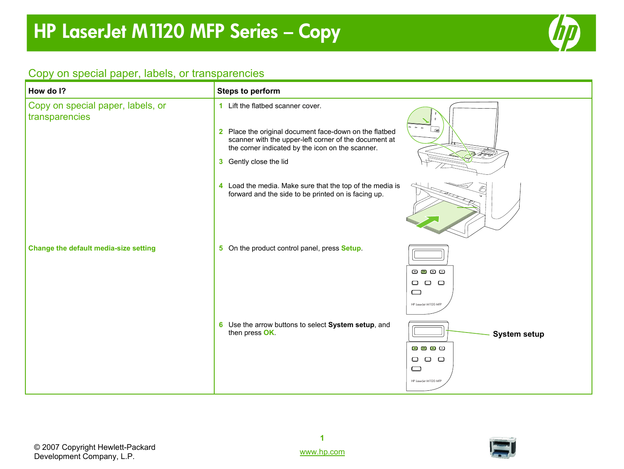

#### Copy on special paper, labels, or transparencies

| How do I?                                           | <b>Steps to perform</b>                                                                                                                                                                                                            |                                                                                                                                              |
|-----------------------------------------------------|------------------------------------------------------------------------------------------------------------------------------------------------------------------------------------------------------------------------------------|----------------------------------------------------------------------------------------------------------------------------------------------|
| Copy on special paper, labels, or<br>transparencies | 1 Lift the flatbed scanner cover.<br>2 Place the original document face-down on the flatbed<br>scanner with the upper-left corner of the document at<br>the corner indicated by the icon on the scanner.<br>3 Gently close the lid |                                                                                                                                              |
|                                                     | 4 Load the media. Make sure that the top of the media is<br>forward and the side to be printed on is facing up.                                                                                                                    |                                                                                                                                              |
| Change the default media-size setting               | 5 On the product control panel, press Setup.                                                                                                                                                                                       | 800<br>$\Box$<br>$\Box$<br>$\Box$<br>$\qquad \qquad \Box$<br>HP LaserJet M1120 MFP                                                           |
|                                                     | 6 Use the arrow buttons to select System setup, and<br>then press OK.                                                                                                                                                              | <b>System setup</b><br>$\circ$ $\circ$ $\circ$<br>$\begin{array}{ccc} \square & \square & \square \end{array}$<br>▭<br>HP LaserJet M1120 MFP |

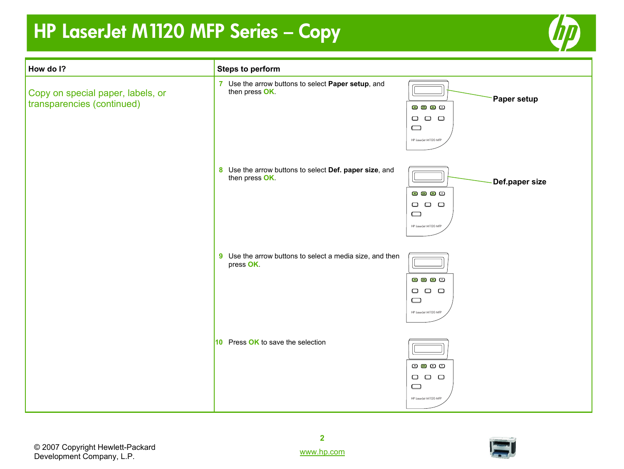

| How do I?                                                       | <b>Steps to perform</b>                                                  |                                                                                                                                                                       |
|-----------------------------------------------------------------|--------------------------------------------------------------------------|-----------------------------------------------------------------------------------------------------------------------------------------------------------------------|
| Copy on special paper, labels, or<br>transparencies (continued) | 7 Use the arrow buttons to select Paper setup, and<br>then press OK.     | <b>Paper setup</b><br>$\mathbf{C} \times \mathbf{C}$<br>$\begin{array}{ccc} \square & \square & \square \end{array}$<br>$\qquad \qquad \Box$<br>HP LaserJet M1120 MFP |
|                                                                 | 8 Use the arrow buttons to select Def. paper size, and<br>then press OK. | Def.paper size<br>$\bullet$ $\bullet$ $\bullet$<br>$\begin{array}{ccc} \square & \square & \square \end{array}$<br>$\qquad \qquad \Box$<br>HP LaserJet M1120 MFP      |
|                                                                 | 9 Use the arrow buttons to select a media size, and then<br>press OK.    | 0 0 D 0<br>$\begin{array}{ccc} \square & \square & \square \end{array}$<br>$\qquad \qquad \Box$<br>HP LaserJet M1120 MFP                                              |
|                                                                 | 10 Press OK to save the selection                                        | $\circledcirc$ $\circledcirc$ $\circledcirc$<br>$\begin{array}{ccc} \square & \square & \square \end{array}$<br>$\qquad \qquad \Box$<br>HP LaserJet M1120 MFP         |



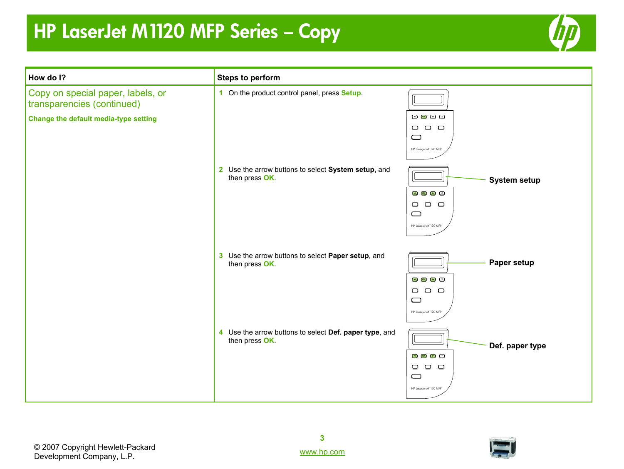

| How do I?                                                       | <b>Steps to perform</b>                                                  |                                                                                                                                                                                                                                                                                                                                                                                                                                                                      |
|-----------------------------------------------------------------|--------------------------------------------------------------------------|----------------------------------------------------------------------------------------------------------------------------------------------------------------------------------------------------------------------------------------------------------------------------------------------------------------------------------------------------------------------------------------------------------------------------------------------------------------------|
| Copy on special paper, labels, or<br>transparencies (continued) | 1 On the product control panel, press Setup.                             |                                                                                                                                                                                                                                                                                                                                                                                                                                                                      |
| Change the default media-type setting                           |                                                                          | $\begin{picture}(20,20) \put(0,0){\line(1,0){10}} \put(15,0){\line(1,0){10}} \put(15,0){\line(1,0){10}} \put(15,0){\line(1,0){10}} \put(15,0){\line(1,0){10}} \put(15,0){\line(1,0){10}} \put(15,0){\line(1,0){10}} \put(15,0){\line(1,0){10}} \put(15,0){\line(1,0){10}} \put(15,0){\line(1,0){10}} \put(15,0){\line(1,0){10}} \put(15,0){\line(1$<br>$\begin{array}{ccc} \square & \square & \square \end{array}$<br>$\qquad \qquad \Box$<br>HP LaserJet M1120 MFP |
|                                                                 | 2 Use the arrow buttons to select System setup, and<br>then press OK.    | <b>System setup</b><br>$\Box$ $\alpha$ $\Box$ $\Box$<br>$\begin{array}{ccc} \square & \square & \square \end{array}$                                                                                                                                                                                                                                                                                                                                                 |
|                                                                 |                                                                          | $\qquad \qquad \Box$<br>HP LaserJet M1120 MFP                                                                                                                                                                                                                                                                                                                                                                                                                        |
|                                                                 | 3 Use the arrow buttons to select Paper setup, and<br>then press OK.     | Paper setup                                                                                                                                                                                                                                                                                                                                                                                                                                                          |
|                                                                 |                                                                          | $\Box$ $\Box$ $\Box$<br>$\begin{array}{ccc} \square & \square & \square \end{array}$<br>$\qquad \qquad \Box$<br>HP LaserJet M1120 MFP                                                                                                                                                                                                                                                                                                                                |
|                                                                 | 4 Use the arrow buttons to select Def. paper type, and<br>then press OK. | Def. paper type<br>3 3 8 3                                                                                                                                                                                                                                                                                                                                                                                                                                           |
|                                                                 |                                                                          | $\Box$ $\Box$<br>$\Box$<br>$\qquad \qquad \Box$<br>HP LaserJet M1120 MFP                                                                                                                                                                                                                                                                                                                                                                                             |

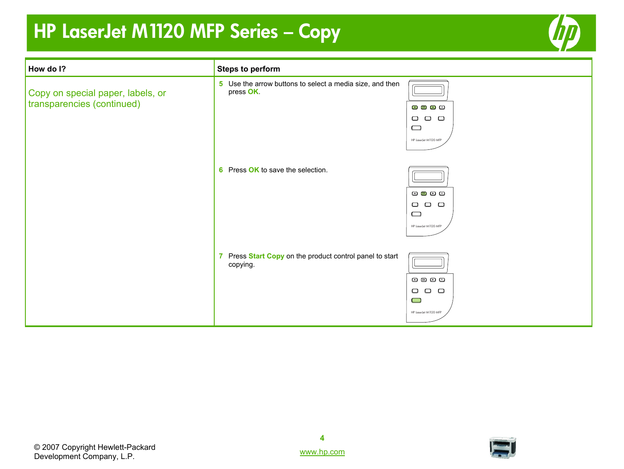

| How do I?                                                       | <b>Steps to perform</b>                                               |                                                                                              |
|-----------------------------------------------------------------|-----------------------------------------------------------------------|----------------------------------------------------------------------------------------------|
| Copy on special paper, labels, or<br>transparencies (continued) | 5 Use the arrow buttons to select a media size, and then<br>press OK. | $\Box$ $\Box$ $\Box$<br>$\Box$ $\Box$ $\Box$<br>$\Box$<br>HP LaserJet M1120 MFP              |
|                                                                 | 6 Press OK to save the selection.                                     | 0000<br>$\Box$ $\Box$ $\Box$<br>$\qquad \qquad \Box$<br>HP LaserJet M1120 MFP                |
|                                                                 | 7 Press Start Copy on the product control panel to start<br>copying.  | $\Box$ $\Box$ $\Box$ $\Box$<br>$\Box$<br>$\Box$<br>$\Box$<br>$\Box$<br>HP LaserJet M1120 MFP |



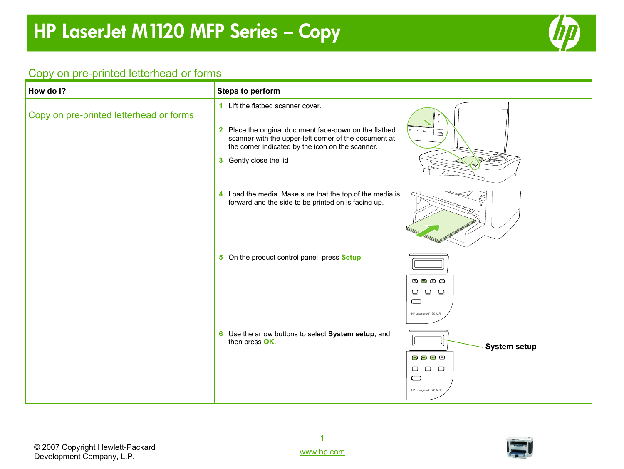

#### Copy on pre-printed letterhead or forms

| How do I?                               | <b>Steps to perform</b>                                                                                                                                                                                                            |                                                                                                                                                                                                                                                                                                                                                                                                                                                                                        |
|-----------------------------------------|------------------------------------------------------------------------------------------------------------------------------------------------------------------------------------------------------------------------------------|----------------------------------------------------------------------------------------------------------------------------------------------------------------------------------------------------------------------------------------------------------------------------------------------------------------------------------------------------------------------------------------------------------------------------------------------------------------------------------------|
| Copy on pre-printed letterhead or forms | 1 Lift the flatbed scanner cover.<br>2 Place the original document face-down on the flatbed<br>scanner with the upper-left corner of the document at<br>the corner indicated by the icon on the scanner.<br>3 Gently close the lid |                                                                                                                                                                                                                                                                                                                                                                                                                                                                                        |
|                                         | 4 Load the media. Make sure that the top of the media is<br>forward and the side to be printed on is facing up.                                                                                                                    |                                                                                                                                                                                                                                                                                                                                                                                                                                                                                        |
|                                         | 5 On the product control panel, press Setup.                                                                                                                                                                                       | $\begin{tabular}{l} \hline \rule{0pt}{2mm} \rule{0pt}{2mm} \rule{0pt}{2mm} \rule{0pt}{2mm} \rule{0pt}{2mm} \rule{0pt}{2mm} \rule{0pt}{2mm} \rule{0pt}{2mm} \rule{0pt}{2mm} \rule{0pt}{2mm} \rule{0pt}{2mm} \rule{0pt}{2mm} \rule{0pt}{2mm} \rule{0pt}{2mm} \rule{0pt}{2mm} \rule{0pt}{2mm} \rule{0pt}{2mm} \rule{0pt}{2mm} \rule{0pt}{2mm} \rule{0pt}{2mm} \rule{0pt}{2mm} \rule{0pt}{2mm} \rule{0pt}{2mm} \rule$<br>$\qquad \qquad \Box$<br>$\Box$<br>$\Box$<br>HP LaserJet M1120 MFP |
|                                         | 6 Use the arrow buttons to select System setup, and<br>then press OK.                                                                                                                                                              | <b>System setup</b><br>3 3 8 2<br>$\Box$ $\Box$ $\Box$<br>$\Box$<br>HP LaserJet M1120 MFP                                                                                                                                                                                                                                                                                                                                                                                              |

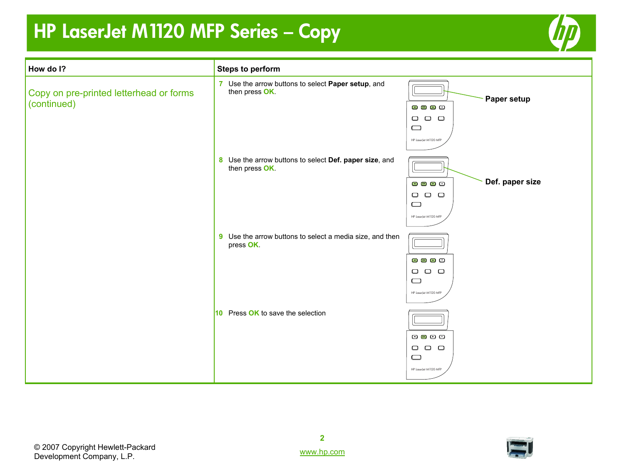

| How do I?                                              | <b>Steps to perform</b>                                                  |                                                                                                                                                                 |
|--------------------------------------------------------|--------------------------------------------------------------------------|-----------------------------------------------------------------------------------------------------------------------------------------------------------------|
| Copy on pre-printed letterhead or forms<br>(continued) | 7 Use the arrow buttons to select Paper setup, and<br>then press OK.     | Paper setup<br>$\mathbf{O} \otimes \mathbf{O}$<br>$\begin{array}{ccc} \square & \square & \square \end{array}$<br>$\qquad \qquad \Box$<br>HP LaserJet M1120 MFP |
|                                                        | 8 Use the arrow buttons to select Def. paper size, and<br>then press OK. | Def. paper size<br>3 3 8 3<br>$\begin{array}{ccc} \square & \square & \square \end{array}$<br>$\qquad \qquad \Box$<br>HP LaserJet M1120 MFP                     |
|                                                        | 9 Use the arrow buttons to select a media size, and then<br>press OK.    | 0 0 D 0<br>$\Box$ $\Box$<br>$\Box$<br>$\Box$<br>HP LaserJet M1120 MFP                                                                                           |
|                                                        | 10 Press OK to save the selection                                        | $\circledcirc$ $\circledcirc$ $\circledcirc$<br>$\begin{array}{ccc} \square & \square & \square \end{array}$<br>$\qquad \qquad \Box$<br>HP LaserJet M1120 MFP   |

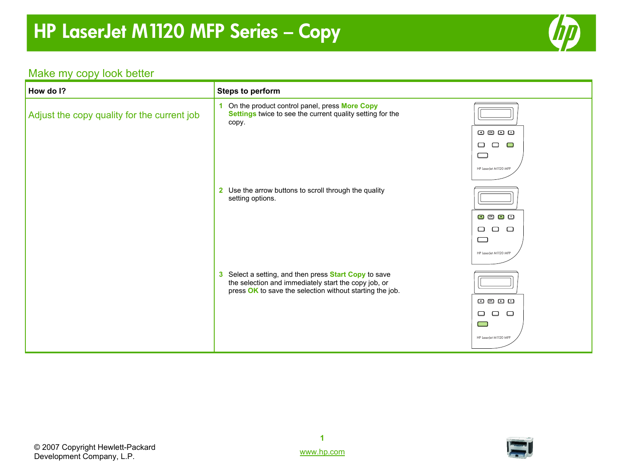

#### Make my copy look better

| How do I?                                   | <b>Steps to perform</b>                                                                                                                                                          |                                                                                                |
|---------------------------------------------|----------------------------------------------------------------------------------------------------------------------------------------------------------------------------------|------------------------------------------------------------------------------------------------|
| Adjust the copy quality for the current job | On the product control panel, press More Copy<br>1<br>Settings twice to see the current quality setting for the<br>copy.                                                         | $\Box$ $\alpha$ $\Box$ $\Box$<br>$\Box$<br>$\Box$<br>$\Box$<br>$\Box$<br>HP LaserJet M1120 MFP |
|                                             | 2 Use the arrow buttons to scroll through the quality<br>setting options.                                                                                                        | $\Box$ $\quad \Box$ $\Box$<br>$\Box$<br>$\Box$<br>$\Box$<br>$\Box$<br>HP LaserJet M1120 MFP    |
|                                             | 3 Select a setting, and then press <b>Start Copy</b> to save<br>the selection and immediately start the copy job, or<br>press OK to save the selection without starting the job. | $O$ $O$ $O$ $O$<br>$\Box$<br>$\Box$<br>$\Box$<br>$\Box$<br>HP LaserJet M1120 MFP               |